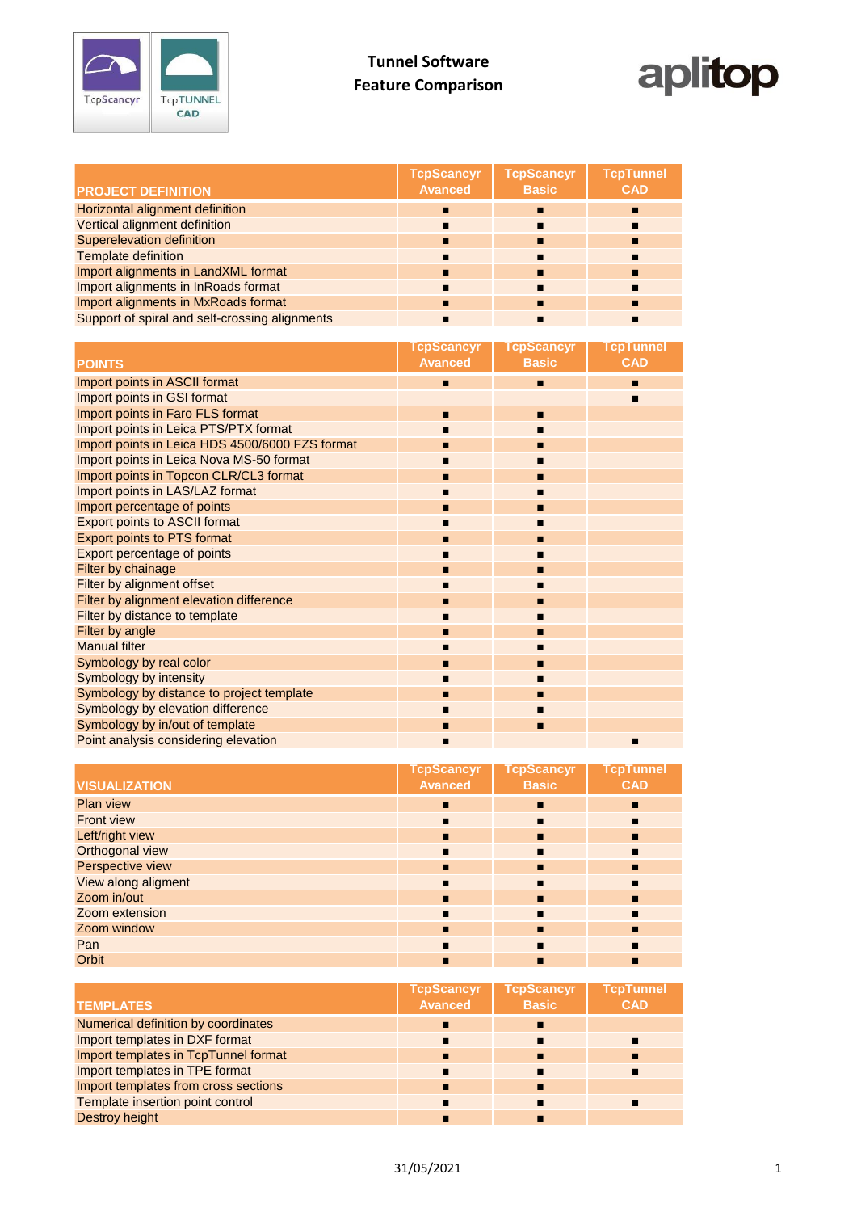



| <b>PROJECT DEFINITION</b>                      | <b>TcpScancyr</b><br><b>Avanced</b> | <b>TcpScancyr</b><br><b>Basic</b> | <b>TcpTunnel</b><br><b>CAD</b> |
|------------------------------------------------|-------------------------------------|-----------------------------------|--------------------------------|
| Horizontal alignment definition                |                                     | п                                 |                                |
| Vertical alignment definition                  | п                                   | п                                 |                                |
| <b>Superelevation definition</b>               | п                                   | п                                 |                                |
| <b>Template definition</b>                     | п                                   |                                   |                                |
| Import alignments in LandXML format            | п                                   | п                                 |                                |
| Import alignments in InRoads format            | п                                   |                                   |                                |
| Import alignments in MxRoads format            | п                                   |                                   |                                |
| Support of spiral and self-crossing alignments |                                     |                                   |                                |

|                                                 | <b>TcpScancyr</b><br><b>Avanced</b> | <b>TcpScancyr</b><br><b>Basic</b> | <b>TcpTunnel</b><br><b>CAD</b> |
|-------------------------------------------------|-------------------------------------|-----------------------------------|--------------------------------|
| <b>POINTS</b>                                   |                                     |                                   |                                |
| Import points in ASCII format                   | п                                   | п                                 | п                              |
| Import points in GSI format                     |                                     |                                   | П                              |
| Import points in Faro FLS format                | п                                   | п                                 |                                |
| Import points in Leica PTS/PTX format           |                                     | п                                 |                                |
| Import points in Leica HDS 4500/6000 FZS format |                                     | п                                 |                                |
| Import points in Leica Nova MS-50 format        | п                                   | п                                 |                                |
| Import points in Topcon CLR/CL3 format          |                                     | п                                 |                                |
| Import points in LAS/LAZ format                 |                                     | п                                 |                                |
| Import percentage of points                     |                                     | п                                 |                                |
| <b>Export points to ASCII format</b>            |                                     | ■                                 |                                |
| Export points to PTS format                     | п                                   | п                                 |                                |
| Export percentage of points                     |                                     | п                                 |                                |
| Filter by chainage                              | п                                   | п                                 |                                |
| Filter by alignment offset                      |                                     | ■                                 |                                |
| Filter by alignment elevation difference        |                                     | п                                 |                                |
| Filter by distance to template                  | п                                   | п                                 |                                |
| Filter by angle                                 | п                                   | п                                 |                                |
| <b>Manual filter</b>                            | п                                   | п                                 |                                |
| Symbology by real color                         |                                     | п                                 |                                |
| Symbology by intensity                          |                                     | п                                 |                                |
| Symbology by distance to project template       |                                     | п                                 |                                |
| Symbology by elevation difference               | п                                   | п                                 |                                |
| Symbology by in/out of template                 | п                                   | п                                 |                                |
| Point analysis considering elevation            | ▪                                   |                                   | п                              |

| <b>VISUALIZATION</b> | <b>TcpScancyr</b><br><b>Avanced</b> | <b>TcpScancyr</b><br><b>Basic</b> | <b>TcpTunnel</b><br><b>CAD</b> |
|----------------------|-------------------------------------|-----------------------------------|--------------------------------|
|                      |                                     |                                   |                                |
| <b>Plan view</b>     | п                                   | $\blacksquare$                    | п                              |
| <b>Front view</b>    | п                                   | п                                 | п                              |
| Left/right view      | п                                   | п                                 | п                              |
| Orthogonal view      | п                                   | $\blacksquare$                    | п                              |
| Perspective view     | п                                   | п                                 | п                              |
| View along aligment  | п                                   | $\blacksquare$                    | п                              |
| Zoom in/out          | п                                   | п                                 | п                              |
| Zoom extension       | п                                   | $\blacksquare$                    | п                              |
| Zoom window          | п                                   | $\blacksquare$                    | п                              |
| Pan                  | п                                   | $\blacksquare$                    | п                              |
| Orbit                | п                                   | п                                 | п                              |

|                                      | <b>TcpScancyr</b> | <b>TcpScancyr</b> | TcpTunnel  |
|--------------------------------------|-------------------|-------------------|------------|
| <b>TEMPLATES</b>                     | <b>Avanced</b>    | <b>Basic</b>      | <b>CAD</b> |
| Numerical definition by coordinates  | п                 |                   |            |
| Import templates in DXF format       |                   |                   |            |
| Import templates in TcpTunnel format | п                 |                   |            |
| Import templates in TPE format       |                   |                   |            |
| Import templates from cross sections | п                 |                   |            |
| Template insertion point control     |                   |                   |            |
| Destroy height                       |                   |                   |            |